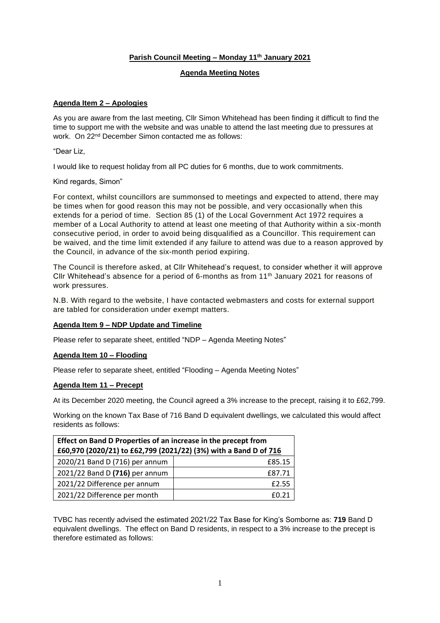# **Parish Council Meeting – Monday 11th January 2021**

# **Agenda Meeting Notes**

# **Agenda Item 2 – Apologies**

As you are aware from the last meeting, Cllr Simon Whitehead has been finding it difficult to find the time to support me with the website and was unable to attend the last meeting due to pressures at work. On 22nd December Simon contacted me as follows:

"Dear Liz,

I would like to request holiday from all PC duties for 6 months, due to work commitments.

#### Kind regards, Simon"

For context, whilst councillors are summonsed to meetings and expected to attend, there may be times when for good reason this may not be possible, and very occasionally when this extends for a period of time. Section 85 (1) of the Local Government Act 1972 requires a member of a Local Authority to attend at least one meeting of that Authority within a six -month consecutive period, in order to avoid being disqualified as a Councillor. This requirement can be waived, and the time limit extended if any failure to attend was due to a reason approved by the Council, in advance of the six-month period expiring.

The Council is therefore asked, at Cllr Whitehead's request, to consider whether it will approve Cllr Whitehead's absence for a period of 6-months as from  $11<sup>th</sup>$  January 2021 for reasons of work pressures.

N.B. With regard to the website, I have contacted webmasters and costs for external support are tabled for consideration under exempt matters.

# **Agenda Item 9 – NDP Update and Timeline**

Please refer to separate sheet, entitled "NDP – Agenda Meeting Notes"

# **Agenda Item 10 – Flooding**

Please refer to separate sheet, entitled "Flooding – Agenda Meeting Notes"

#### **Agenda Item 11 – Precept**

At its December 2020 meeting, the Council agreed a 3% increase to the precept, raising it to £62,799.

Working on the known Tax Base of 716 Band D equivalent dwellings, we calculated this would affect residents as follows:

| Effect on Band D Properties of an increase in the precept from   |        |  |  |  |
|------------------------------------------------------------------|--------|--|--|--|
| £60,970 (2020/21) to £62,799 (2021/22) (3%) with a Band D of 716 |        |  |  |  |
| 2020/21 Band D (716) per annum                                   | £85.15 |  |  |  |
| 2021/22 Band D (716) per annum                                   | £87.71 |  |  |  |
| 2021/22 Difference per annum                                     | £2.55  |  |  |  |
| 2021/22 Difference per month                                     | £0.21  |  |  |  |

TVBC has recently advised the estimated 2021/22 Tax Base for King's Somborne as: **719** Band D equivalent dwellings. The effect on Band D residents, in respect to a 3% increase to the precept is therefore estimated as follows: